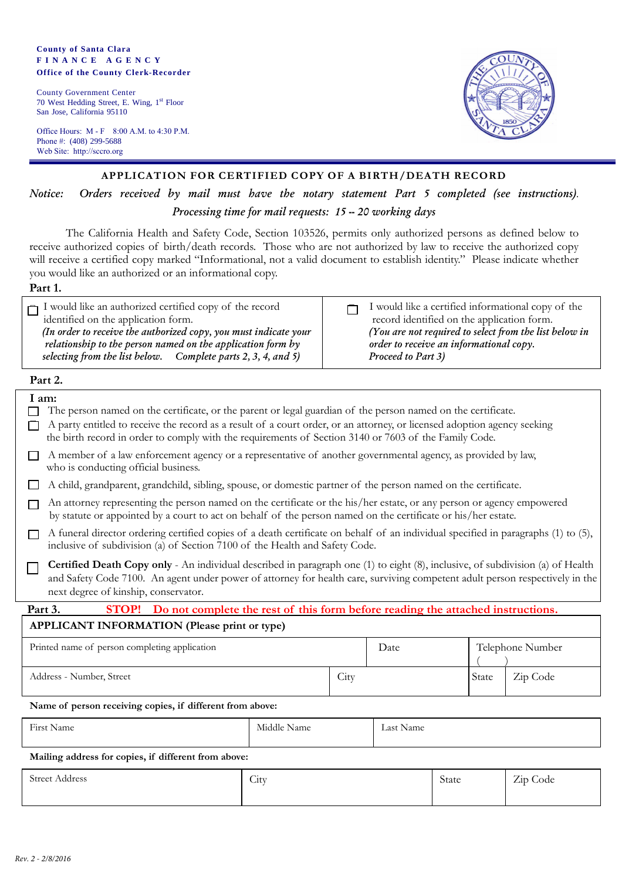#### **County of Santa Clara F I N A N C E A G E N C Y Office of the County Clerk-Recorder**

County Government Center 70 West Hedding Street, E. Wing, 1st Floor San Jose, California 95110

Office Hours: M - F 8:00 A.M. to 4:30 P.M. Phone #: (408) 299-5688 Web Site: http://sccro.org



### **APPLICATION FOR CERTIFIED COPY OF A BIRTH/DEATH RECORD**

# *Notice: Orders received by mail must have the notary statement Part 5 completed (see instructions)*. *Processing time for mail requests: 15 -- 20 working days*

The California Health and Safety Code, Section 103526, permits only authorized persons as defined below to receive authorized copies of birth/death records. Those who are not authorized by law to receive the authorized copy will receive a certified copy marked "Informational, not a valid document to establish identity." Please indicate whether you would like an authorized or an informational copy.

| $\Box$ I would like an authorized certified copy of the record<br>identified on the application form.<br>(In order to receive the authorized copy, you must indicate your<br>relationship to the person named on the application form by<br>selecting from the list below. Complete parts 2, 3, 4, and 5) | I would like a certified informational copy of the<br>record identified on the application form.<br>(You are not required to select from the list below in<br>order to receive an informational copy.<br>Proceed to Part 3) |
|-----------------------------------------------------------------------------------------------------------------------------------------------------------------------------------------------------------------------------------------------------------------------------------------------------------|-----------------------------------------------------------------------------------------------------------------------------------------------------------------------------------------------------------------------------|
|                                                                                                                                                                                                                                                                                                           |                                                                                                                                                                                                                             |

### **Part 2.**

**Part 1.**

|                                                                                                         | I am:<br>The person named on the certificate, or the parent or legal guardian of the person named on the certificate.<br>A party entitled to receive the record as a result of a court order, or an attorney, or licensed adoption agency seeking<br>the birth record in order to comply with the requirements of Section 3140 or 7603 of the Family Code. |  |      |       |                  |
|---------------------------------------------------------------------------------------------------------|------------------------------------------------------------------------------------------------------------------------------------------------------------------------------------------------------------------------------------------------------------------------------------------------------------------------------------------------------------|--|------|-------|------------------|
|                                                                                                         | A member of a law enforcement agency or a representative of another governmental agency, as provided by law,<br>who is conducting official business.                                                                                                                                                                                                       |  |      |       |                  |
|                                                                                                         | A child, grandparent, grandchild, sibling, spouse, or domestic partner of the person named on the certificate.                                                                                                                                                                                                                                             |  |      |       |                  |
|                                                                                                         | An attorney representing the person named on the certificate or the his/her estate, or any person or agency empowered<br>by statute or appointed by a court to act on behalf of the person named on the certificate or his/her estate.                                                                                                                     |  |      |       |                  |
|                                                                                                         | A funeral director ordering certified copies of a death certificate on behalf of an individual specified in paragraphs (1) to (5),<br>inclusive of subdivision (a) of Section 7100 of the Health and Safety Code.                                                                                                                                          |  |      |       |                  |
|                                                                                                         | <b>Certified Death Copy only</b> - An individual described in paragraph one (1) to eight (8), inclusive, of subdivision (a) of Health<br>and Safety Code 7100. An agent under power of attorney for health care, surviving competent adult person respectively in the<br>next degree of kinship, conservator.                                              |  |      |       |                  |
| Part 3.<br><b>STOP!</b> Do not complete the rest of this form before reading the attached instructions. |                                                                                                                                                                                                                                                                                                                                                            |  |      |       |                  |
| <b>APPLICANT INFORMATION (Please print or type)</b>                                                     |                                                                                                                                                                                                                                                                                                                                                            |  |      |       |                  |
| Printed name of person completing application                                                           |                                                                                                                                                                                                                                                                                                                                                            |  | Date |       | Telephone Number |
| Address - Number, Street<br>City                                                                        |                                                                                                                                                                                                                                                                                                                                                            |  |      | State | Zip Code         |

### **Name of person receiving copies, if different from above:**

| First Name                                                                                                                                         | Middle Name | Last Name |  |  |  |
|----------------------------------------------------------------------------------------------------------------------------------------------------|-------------|-----------|--|--|--|
| $\mathbf{M}$ . The set of $\mathbf{M}$ is the set of $\mathbf{M}$ is the set of $\mathbf{M}$ is the set of $\mathbf{M}$ is the set of $\mathbf{M}$ |             |           |  |  |  |

#### **Mailing address for copies, if different from above:**

| <b>Street Address</b> | $\sim$<br>$\cup$ 1 $\text{t}$ | $\sim$<br>State | Zip Code |
|-----------------------|-------------------------------|-----------------|----------|
|                       |                               |                 |          |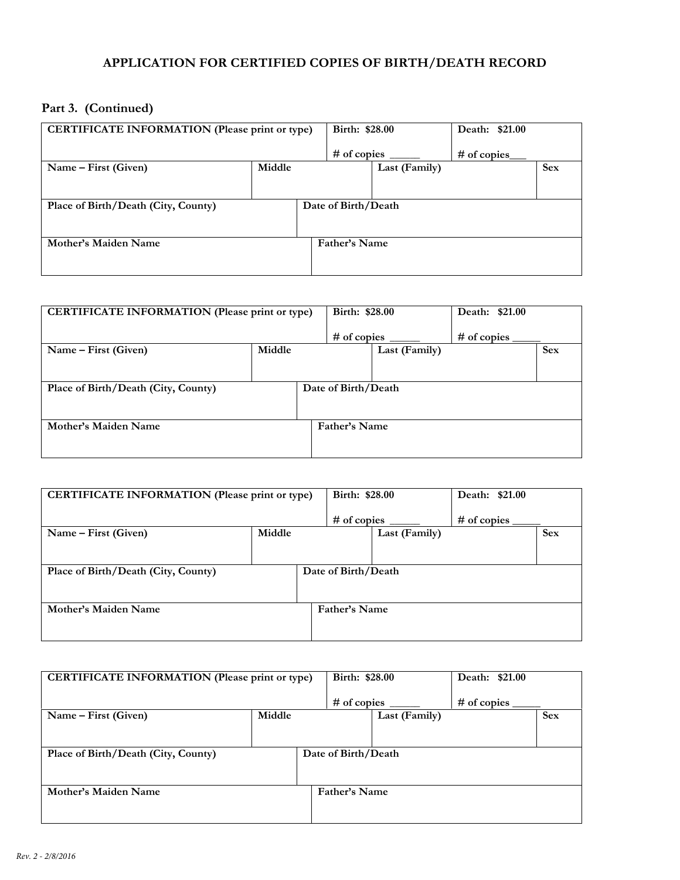# **APPLICATION FOR CERTIFIED COPIES OF BIRTH/DEATH RECORD**

# **Part 3. (Continued)**

| <b>CERTIFICATE INFORMATION (Please print or type)</b> |        | Birth: \$28.00       | Death: \$21.00 |            |
|-------------------------------------------------------|--------|----------------------|----------------|------------|
|                                                       |        | $#$ of copies        | $#$ of copies  |            |
| Name – First (Given)                                  | Middle | Last (Family)        |                | <b>Sex</b> |
|                                                       |        |                      |                |            |
| Place of Birth/Death (City, County)                   |        | Date of Birth/Death  |                |            |
|                                                       |        |                      |                |            |
| Mother's Maiden Name                                  |        | <b>Father's Name</b> |                |            |
|                                                       |        |                      |                |            |

| <b>CERTIFICATE INFORMATION (Please print or type)</b> |        | Birth: \$28.00      |               | Death: \$21.00 |            |
|-------------------------------------------------------|--------|---------------------|---------------|----------------|------------|
|                                                       |        | $#$ of copies       |               | $#$ of copies  |            |
| Name – First (Given)                                  | Middle |                     | Last (Family) |                | <b>Sex</b> |
|                                                       |        |                     |               |                |            |
| Place of Birth/Death (City, County)                   |        | Date of Birth/Death |               |                |            |
|                                                       |        |                     |               |                |            |
| Mother's Maiden Name                                  |        | Father's Name       |               |                |            |
|                                                       |        |                     |               |                |            |

| <b>CERTIFICATE INFORMATION (Please print or type)</b> |        | Birth: \$28.00      | Death: \$21.00 |            |
|-------------------------------------------------------|--------|---------------------|----------------|------------|
|                                                       |        | $#$ of copies       | $#$ of copies  |            |
| Name – First (Given)                                  | Middle | Last (Family)       |                | <b>Sex</b> |
|                                                       |        |                     |                |            |
| Place of Birth/Death (City, County)                   |        | Date of Birth/Death |                |            |
|                                                       |        |                     |                |            |
| Mother's Maiden Name                                  |        | Father's Name       |                |            |
|                                                       |        |                     |                |            |

| <b>CERTIFICATE INFORMATION (Please print or type)</b> |               | Death: \$21.00                                         |            |
|-------------------------------------------------------|---------------|--------------------------------------------------------|------------|
|                                                       | $#$ of copies | $#$ of copies                                          |            |
| Middle                                                | Last (Family) |                                                        | <b>Sex</b> |
|                                                       |               |                                                        |            |
| Place of Birth/Death (City, County)                   |               |                                                        |            |
|                                                       |               |                                                        |            |
| Mother's Maiden Name                                  |               |                                                        |            |
|                                                       |               |                                                        |            |
|                                                       |               | Birth: \$28.00<br>Date of Birth/Death<br>Father's Name |            |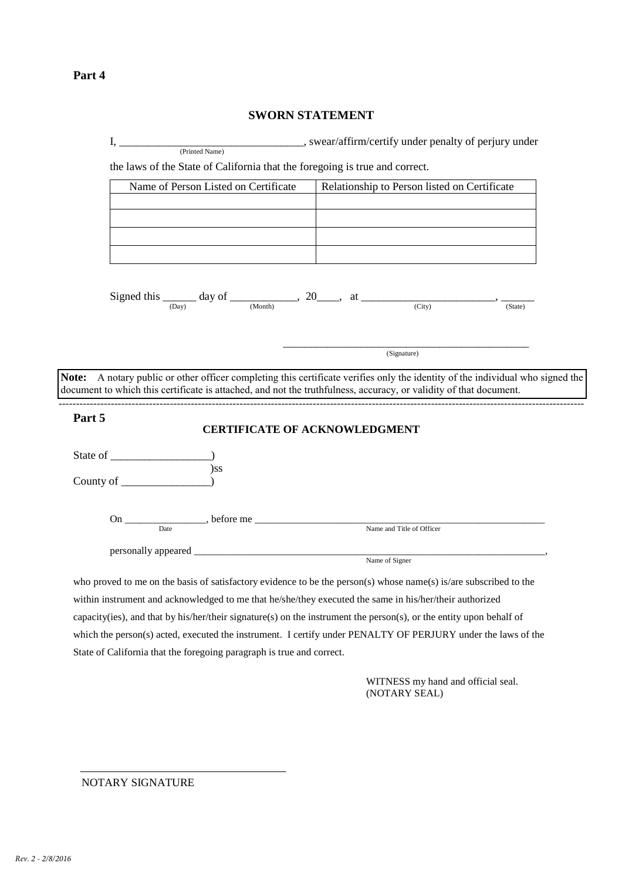# **SWORN STATEMENT**

| I,                                                                                                                                                                                                                                                            | (Printed Name)                                                                                                                        | ____________________, swear/affirm/certify under penalty of perjury under |         |
|---------------------------------------------------------------------------------------------------------------------------------------------------------------------------------------------------------------------------------------------------------------|---------------------------------------------------------------------------------------------------------------------------------------|---------------------------------------------------------------------------|---------|
|                                                                                                                                                                                                                                                               | the laws of the State of California that the foregoing is true and correct.                                                           |                                                                           |         |
|                                                                                                                                                                                                                                                               | Name of Person Listed on Certificate                                                                                                  | Relationship to Person listed on Certificate                              |         |
|                                                                                                                                                                                                                                                               |                                                                                                                                       |                                                                           |         |
|                                                                                                                                                                                                                                                               | Signed this $\frac{1}{\text{(Day)}}$ day of $\frac{1}{\text{(Month)}}$ , 20 $\frac{1}{\text{(Count)}}$ , at $\frac{1}{\text{(City)}}$ |                                                                           | (State) |
|                                                                                                                                                                                                                                                               |                                                                                                                                       | (Signature)                                                               |         |
| Note: A notary public or other officer completing this certificate verifies only the identity of the individual who signed the<br>document to which this certificate is attached, and not the truthfulness, accuracy, or validity of that document.<br>Part 5 | <b>CERTIFICATE OF ACKNOWLEDGMENT</b>                                                                                                  |                                                                           |         |
|                                                                                                                                                                                                                                                               |                                                                                                                                       |                                                                           |         |
|                                                                                                                                                                                                                                                               | $)$ ss                                                                                                                                |                                                                           |         |
| Date                                                                                                                                                                                                                                                          |                                                                                                                                       | Name and Title of Officer                                                 |         |
|                                                                                                                                                                                                                                                               |                                                                                                                                       | Name of Signer                                                            |         |
| who proved to me on the basis of satisfactory evidence to be the person(s) whose name(s) is/are subscribed to the<br>within instrument and acknowledged to me that he/she/they executed the same in his/her/their authorized                                  |                                                                                                                                       |                                                                           |         |
| capacity(ies), and that by his/her/their signature(s) on the instrument the person(s), or the entity upon behalf of                                                                                                                                           |                                                                                                                                       |                                                                           |         |
| which the person(s) acted, executed the instrument. I certify under PENALTY OF PERJURY under the laws of the                                                                                                                                                  |                                                                                                                                       |                                                                           |         |

State of California that the foregoing paragraph is true and correct.

WITNESS my hand and official seal. (NOTARY SEAL)

NOTARY SIGNATURE